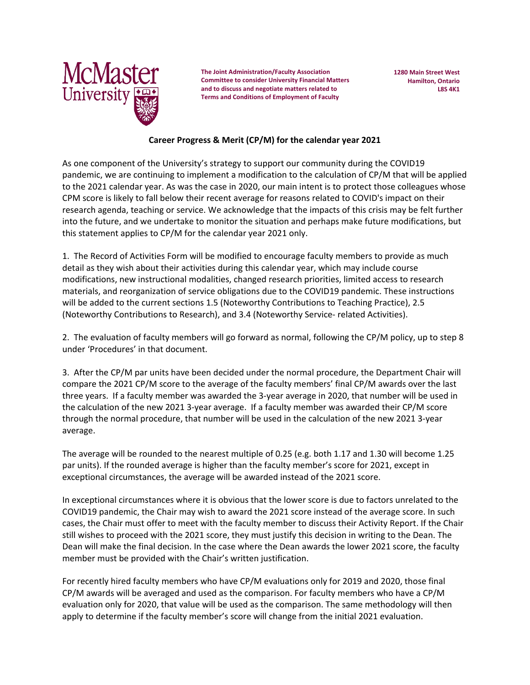

**The Joint Administration/Faculty Association Committee to consider University Financial Matters and to discuss and negotiate matters related to Terms and Conditions of Employment of Faculty**

**1280 Main Street West Hamilton, Ontario L8S 4K1**

## **Career Progress & Merit (CP/M) for the calendar year 2021**

As one component of the University's strategy to support our community during the COVID19 pandemic, we are continuing to implement a modification to the calculation of CP/M that will be applied to the 2021 calendar year. As was the case in 2020, our main intent is to protect those colleagues whose CPM score is likely to fall below their recent average for reasons related to COVID's impact on their research agenda, teaching or service. We acknowledge that the impacts of this crisis may be felt further into the future, and we undertake to monitor the situation and perhaps make future modifications, but this statement applies to CP/M for the calendar year 2021 only.

1. The Record of Activities Form will be modified to encourage faculty members to provide as much detail as they wish about their activities during this calendar year, which may include course modifications, new instructional modalities, changed research priorities, limited access to research materials, and reorganization of service obligations due to the COVID19 pandemic. These instructions will be added to the current sections 1.5 (Noteworthy Contributions to Teaching Practice), 2.5 (Noteworthy Contributions to Research), and 3.4 (Noteworthy Service- related Activities).

2. The evaluation of faculty members will go forward as normal, following the CP/M policy, up to step 8 under 'Procedures' in that document.

3. After the CP/M par units have been decided under the normal procedure, the Department Chair will compare the 2021 CP/M score to the average of the faculty members' final CP/M awards over the last three years. If a faculty member was awarded the 3-year average in 2020, that number will be used in the calculation of the new 2021 3-year average. If a faculty member was awarded their CP/M score through the normal procedure, that number will be used in the calculation of the new 2021 3-year average.

The average will be rounded to the nearest multiple of 0.25 (e.g. both 1.17 and 1.30 will become 1.25 par units). If the rounded average is higher than the faculty member's score for 2021, except in exceptional circumstances, the average will be awarded instead of the 2021 score.

In exceptional circumstances where it is obvious that the lower score is due to factors unrelated to the COVID19 pandemic, the Chair may wish to award the 2021 score instead of the average score. In such cases, the Chair must offer to meet with the faculty member to discuss their Activity Report. If the Chair still wishes to proceed with the 2021 score, they must justify this decision in writing to the Dean. The Dean will make the final decision. In the case where the Dean awards the lower 2021 score, the faculty member must be provided with the Chair's written justification.

For recently hired faculty members who have CP/M evaluations only for 2019 and 2020, those final CP/M awards will be averaged and used as the comparison. For faculty members who have a CP/M evaluation only for 2020, that value will be used as the comparison. The same methodology will then apply to determine if the faculty member's score will change from the initial 2021 evaluation.